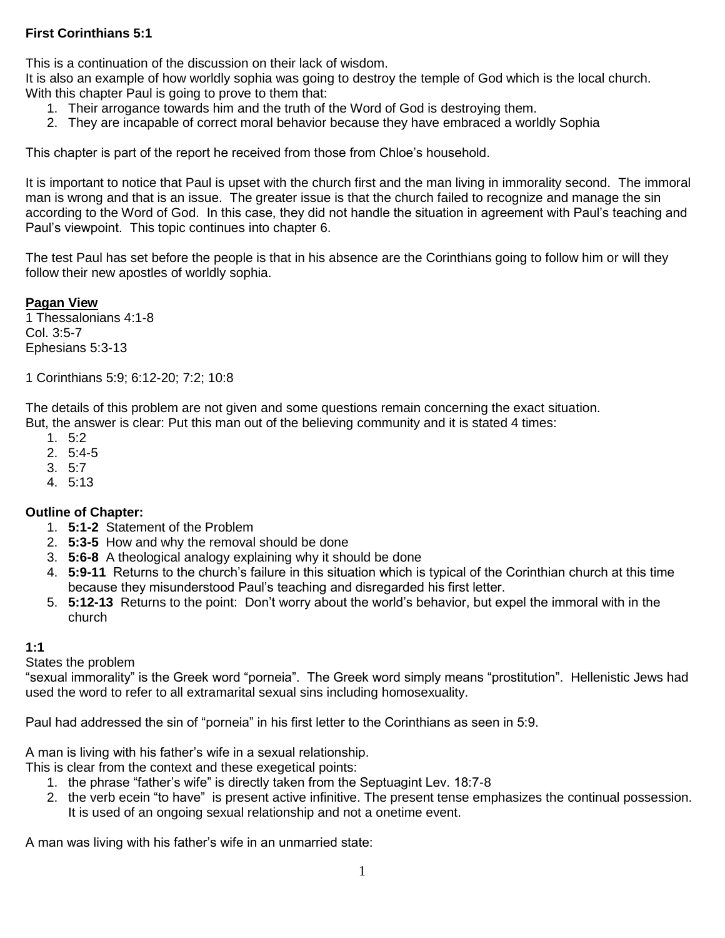#### **First Corinthians 5:1**

This is a continuation of the discussion on their lack of wisdom.

It is also an example of how worldly sophia was going to destroy the temple of God which is the local church. With this chapter Paul is going to prove to them that:

- 1. Their arrogance towards him and the truth of the Word of God is destroying them.
- 2. They are incapable of correct moral behavior because they have embraced a worldly Sophia

This chapter is part of the report he received from those from Chloe's household.

It is important to notice that Paul is upset with the church first and the man living in immorality second. The immoral man is wrong and that is an issue. The greater issue is that the church failed to recognize and manage the sin according to the Word of God. In this case, they did not handle the situation in agreement with Paul's teaching and Paul's viewpoint. This topic continues into chapter 6.

The test Paul has set before the people is that in his absence are the Corinthians going to follow him or will they follow their new apostles of worldly sophia.

**Pagan View**

1 Thessalonians 4:1-8 Col. 3:5-7 Ephesians 5:3-13

1 Corinthians 5:9; 6:12-20; 7:2; 10:8

The details of this problem are not given and some questions remain concerning the exact situation. But, the answer is clear: Put this man out of the believing community and it is stated 4 times:

- 1. 5:2
- 2. 5:4-5
- 3. 5:7
- 4. 5:13

#### **Outline of Chapter:**

- 1. **5:1-2** Statement of the Problem
- 2. **5:3-5** How and why the removal should be done
- 3. **5:6-8** A theological analogy explaining why it should be done
- 4. **5:9-11** Returns to the church's failure in this situation which is typical of the Corinthian church at this time because they misunderstood Paul's teaching and disregarded his first letter.
- 5. **5:12-13** Returns to the point: Don't worry about the world's behavior, but expel the immoral with in the church

#### **1:1**

States the problem

"sexual immorality" is the Greek word "porneia". The Greek word simply means "prostitution". Hellenistic Jews had used the word to refer to all extramarital sexual sins including homosexuality.

Paul had addressed the sin of "porneia" in his first letter to the Corinthians as seen in 5:9.

A man is living with his father's wife in a sexual relationship.

This is clear from the context and these exegetical points:

- 1. the phrase "father's wife" is directly taken from the Septuagint Lev. 18:7-8
- 2. the verb ecein "to have" is present active infinitive. The present tense emphasizes the continual possession. It is used of an ongoing sexual relationship and not a onetime event.

A man was living with his father's wife in an unmarried state: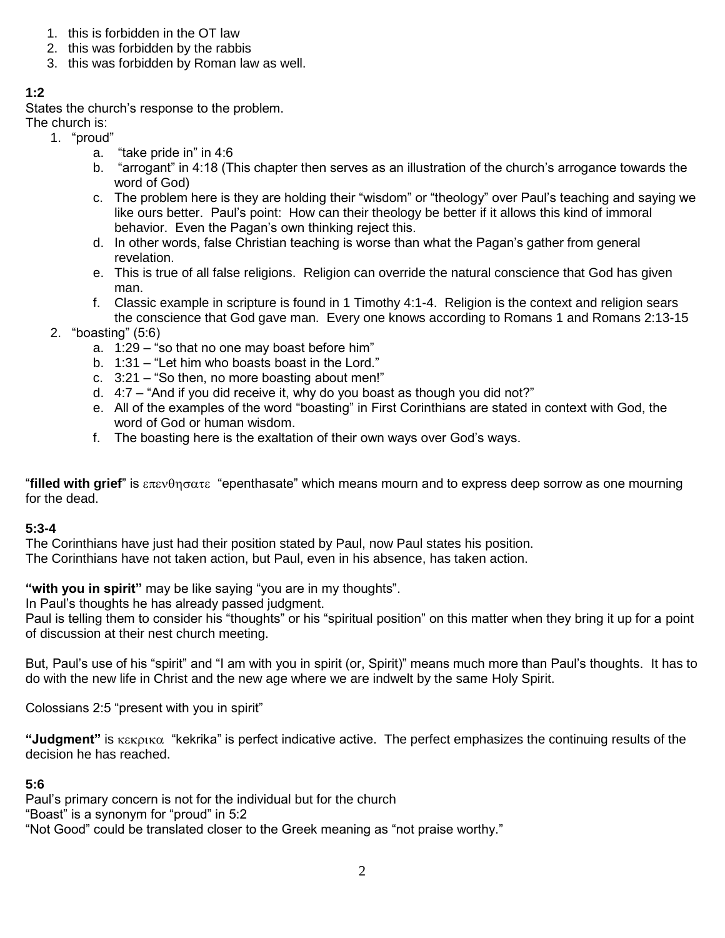- 1. this is forbidden in the OT law
- 2. this was forbidden by the rabbis
- 3. this was forbidden by Roman law as well.

# **1:2**

States the church's response to the problem.

The church is:

- 1. "proud"
	- a. "take pride in" in 4:6
	- b. "arrogant" in 4:18 (This chapter then serves as an illustration of the church's arrogance towards the word of God)
	- c. The problem here is they are holding their "wisdom" or "theology" over Paul's teaching and saying we like ours better. Paul's point: How can their theology be better if it allows this kind of immoral behavior. Even the Pagan's own thinking reject this.
	- d. In other words, false Christian teaching is worse than what the Pagan's gather from general revelation.
	- e. This is true of all false religions. Religion can override the natural conscience that God has given man.
	- f. Classic example in scripture is found in 1 Timothy 4:1-4. Religion is the context and religion sears the conscience that God gave man. Every one knows according to Romans 1 and Romans 2:13-15
- 2. "boasting" (5:6)
	- a. 1:29 "so that no one may boast before him"
	- b. 1:31 "Let him who boasts boast in the Lord."
	- c. 3:21 "So then, no more boasting about men!"
	- d. 4:7 "And if you did receive it, why do you boast as though you did not?"
	- e. All of the examples of the word "boasting" in First Corinthians are stated in context with God, the word of God or human wisdom.
	- f. The boasting here is the exaltation of their own ways over God's ways.

*"filled with grief"* is επενθησατε "epenthasate" which means mourn and to express deep sorrow as one mourning for the dead.

### **5:3-4**

The Corinthians have just had their position stated by Paul, now Paul states his position.

The Corinthians have not taken action, but Paul, even in his absence, has taken action.

**"with you in spirit"** may be like saying "you are in my thoughts".

In Paul's thoughts he has already passed judgment.

Paul is telling them to consider his "thoughts" or his "spiritual position" on this matter when they bring it up for a point of discussion at their nest church meeting.

But, Paul's use of his "spirit" and "I am with you in spirit (or, Spirit)" means much more than Paul's thoughts. It has to do with the new life in Christ and the new age where we are indwelt by the same Holy Spirit.

Colossians 2:5 "present with you in spirit"

**"Judgment"** is *κεκρικα* "kekrika" is perfect indicative active. The perfect emphasizes the continuing results of the decision he has reached.

### **5:6**

Paul's primary concern is not for the individual but for the church

"Boast" is a synonym for "proud" in 5:2

"Not Good" could be translated closer to the Greek meaning as "not praise worthy."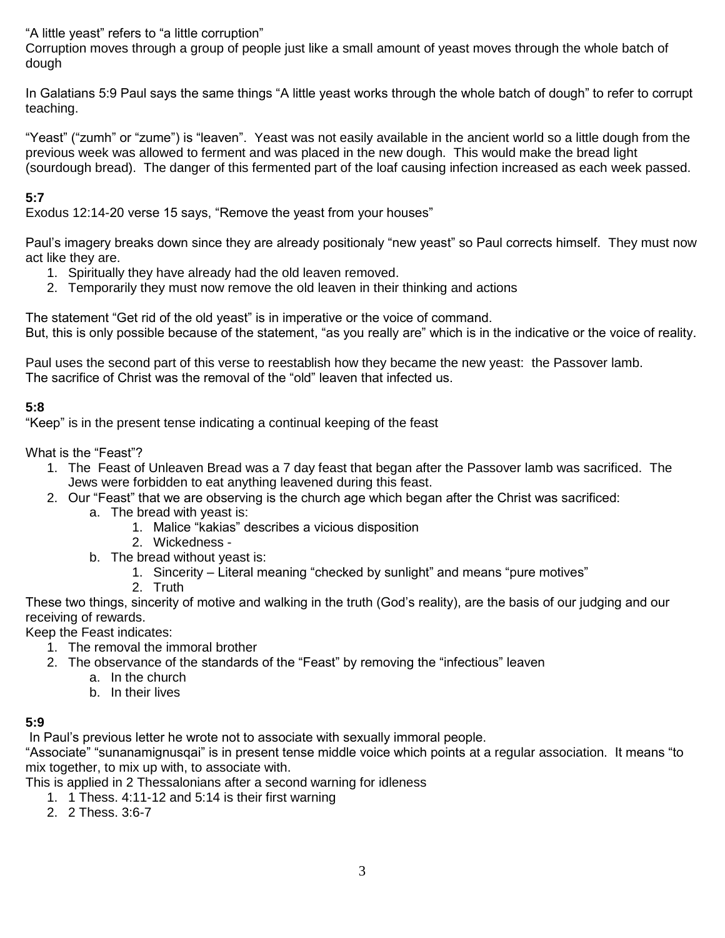"A little yeast" refers to "a little corruption"

Corruption moves through a group of people just like a small amount of yeast moves through the whole batch of dough

In Galatians 5:9 Paul says the same things "A little yeast works through the whole batch of dough" to refer to corrupt teaching.

"Yeast" ("zumh" or "zume") is "leaven". Yeast was not easily available in the ancient world so a little dough from the previous week was allowed to ferment and was placed in the new dough. This would make the bread light (sourdough bread). The danger of this fermented part of the loaf causing infection increased as each week passed.

### **5:7**

Exodus 12:14-20 verse 15 says, "Remove the yeast from your houses"

Paul's imagery breaks down since they are already positionaly "new yeast" so Paul corrects himself. They must now act like they are.

- 1. Spiritually they have already had the old leaven removed.
- 2. Temporarily they must now remove the old leaven in their thinking and actions

The statement "Get rid of the old yeast" is in imperative or the voice of command. But, this is only possible because of the statement, "as you really are" which is in the indicative or the voice of reality.

Paul uses the second part of this verse to reestablish how they became the new yeast: the Passover lamb. The sacrifice of Christ was the removal of the "old" leaven that infected us.

### **5:8**

"Keep" is in the present tense indicating a continual keeping of the feast

What is the "Feast"?

- 1. The Feast of Unleaven Bread was a 7 day feast that began after the Passover lamb was sacrificed. The Jews were forbidden to eat anything leavened during this feast.
- 2. Our "Feast" that we are observing is the church age which began after the Christ was sacrificed:
	- a. The bread with yeast is:
		- 1. Malice "kakias" describes a vicious disposition
		- 2. Wickedness -
	- b. The bread without yeast is:
		- 1. Sincerity Literal meaning "checked by sunlight" and means "pure motives"
		- 2. Truth

These two things, sincerity of motive and walking in the truth (God's reality), are the basis of our judging and our receiving of rewards.

Keep the Feast indicates:

- 1. The removal the immoral brother
- 2. The observance of the standards of the "Feast" by removing the "infectious" leaven
	- a. In the church
	- b. In their lives

#### **5:9**

In Paul's previous letter he wrote not to associate with sexually immoral people.

"Associate" "sunanamignusqai" is in present tense middle voice which points at a regular association. It means "to mix together, to mix up with, to associate with.

This is applied in 2 Thessalonians after a second warning for idleness

- 1. 1 Thess. 4:11-12 and 5:14 is their first warning
	- 2. 2 Thess. 3:6-7